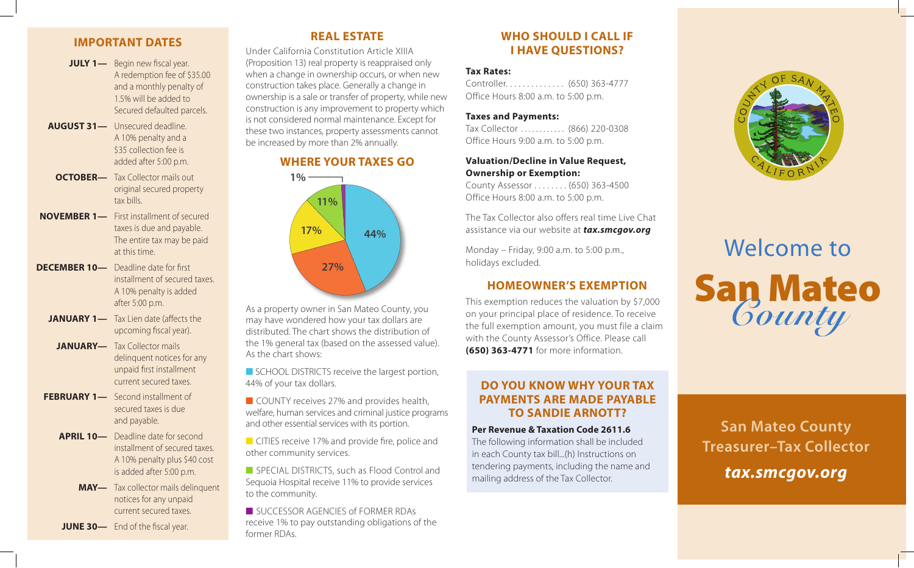## **IMPORTANT DATES**

- **JULY 1—** Begin new fiscal year. A redemption fee of \$35.00 and a monthly penalty of 1.5% will be added to Secured defaulted parcels.
- **AUGUST 31—** Unsecured deadline. A 10% penalty and a \$35 collection fee is added after 5:00 p.m.
- **OCTOBER—** Tax Collector mails out original secured property tax bills.
- **NOVEMBER 1—** First installment of secured taxes is due and payable. The entire tax may be paid at this time.
- **DECEMBER 10—** Deadline date for first installment of secured taxes. A 10% penalty is added after 5:00 p.m.
	- **JANUARY 1—** Tax Lien date (affects the upcoming fiscal year).
	- **JANUARY—** Tax Collector mails delinquent notices for any unpaid first installment current secured taxes.
- **FEBRUARY 1—** Second installment of secured taxes is due and payable.
	- **APRIL 10—** Deadline date for second installment of secured taxes. A 10% penalty plus \$40 cost is added after 5:00 p.m.
		- **MAY—** Tax collector mails delinquent notices for any unpaid current secured taxes.
	- **JUNE 30—** End of the fiscal year.

# **REAL ESTATE**

Under California Constitution Article XIIIA (Proposition 13) real property is reappraised only when a change in ownership occurs, or when new construction takes place. Generally a change in ownership is a sale or transfer of property, while new construction is any improvement to property which is not considered normal maintenance. Except for these two instances, property assessments cannot be increased by more than 2% annually.

## **WHERE YOUR TAXES GO**



As a property owner in San Mateo County, you may have wondered how your tax dollars are distributed. The chart shows the distribution of the 1% general tax (based on the assessed value). As the chart shows:

■ SCHOOL DISTRICTS receive the largest portion, 44% of your tax dollars.

■ COUNTY receives 27% and provides health, welfare, human services and criminal justice programs and other essential services with its portion.

■ CITIES receive 17% and provide fire, police and other community services.

■ SPECIAL DISTRICTS, such as Flood Control and Sequoia Hospital receive 11% to provide services to the community.

■ SUCCESSOR AGENCIES of FORMER RDAs receive 1% to pay outstanding obligations of the former RDAs.

# **WHO SHOULD I CALL IF I HAVE QUESTIONS?**

### **Tax Rates:**

Controller. . . . . . . . . . . . . . (650) 363-4777 Office Hours 8:00 a.m. to 5:00 p.m.

### **Taxes and Payments:**

Tax Collector ............ (866) 220-0308 Office Hours 9:00 a.m. to 5:00 p.m.

### **Valuation/Decline in Value Request, Ownership or Exemption:**

County Assessor . . . . . . . . (650) 363-4500 Office Hours 8:00 a.m. to 5:00 p.m.

The Tax Collector also offers real time Live Chat assistance via our website at *tax.smcgov.org* 

Monday – Friday, 9:00 a.m. to 5:00 p.m., holidays excluded.

## **HOMEOWNER'S EXEMPTION**

This exemption reduces the valuation by \$7,000 on your principal place of residence. To receive the full exemption amount, you must file a claim with the County Assessor's Office. Please call **(650) 363-4771** for more information.

# **DO YOU KNOW WHY YOUR TAX PAYMENTS ARE MADE PAYABLE TO SANDIE ARNOTT?**

#### **Per Revenue & Taxation Code 2611.6**

The following information shall be included in each County tax bill...(h) Instructions on tendering payments, including the name and mailing address of the Tax Collector.



# Welcome to San Mateo *County*

**San Mateo County Treasurer–Tax Collector** *tax.smcgov.org*